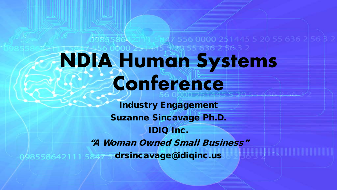# 636 2 56.3 2 **NDIA Human Systems Conference**

556 0000 251445 5 20 55 636

Industry Engagement Suzanne Sincavage Ph.D. IDIQ Inc. "A Woman Owned Small Business" 098558642111 5847 5 drsincavage@idiqinc.us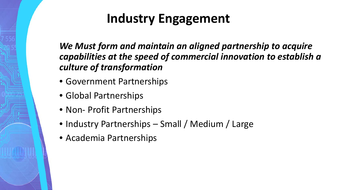## **Industry Engagement**

*We Must form and maintain an aligned partnership to acquire capabilities at the speed of commercial innovation to establish a culture of transformation*

- Government Partnerships
- Global Partnerships
- Non- Profit Partnerships
- Industry Partnerships Small / Medium / Large
- Academia Partnerships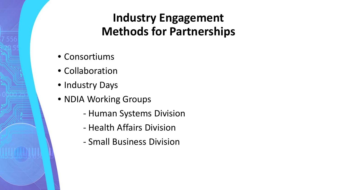## **Industry Engagement Methods for Partnerships**

- Consortiums
- Collaboration
- Industry Days
- NDIA Working Groups
	- Human Systems Division
	- Health Affairs Division
	- Small Business Division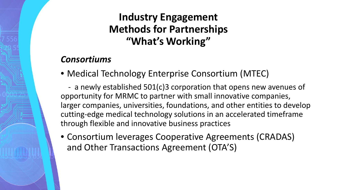### **Industry Engagement Methods for Partnerships "What's Working"**

#### *Consortiums*

• Medical Technology Enterprise Consortium (MTEC)

 - a newly established 501(c)3 corporation that opens new avenues of opportunity for MRMC to partner with small innovative companies, larger companies, universities, foundations, and other entities to develop cutting-edge medical technology solutions in an accelerated timeframe through flexible and innovative business practices

• Consortium leverages Cooperative Agreements (CRADAS) and Other Transactions Agreement (OTA'S)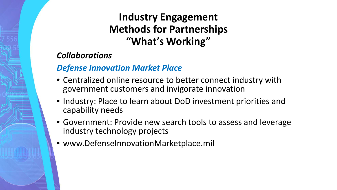### **Industry Engagement Methods for Partnerships "What's Working"**

#### *Collaborations*

#### *Defense Innovation Market Place*

- Centralized online resource to better connect industry with government customers and invigorate innovation
- Industry: Place to learn about DoD investment priorities and capability needs
- Government: Provide new search tools to assess and leverage industry technology projects
- www.DefenseInnovationMarketplace.mil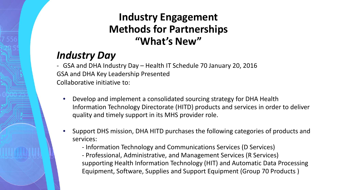### **Industry Engagement Methods for Partnerships "What's New"**

## *Industry Day*

- GSA and DHA Industry Day – Health IT Schedule 70 January 20, 2016 GSA and DHA Key Leadership Presented Collaborative initiative to:

- Develop and implement a consolidated sourcing strategy for DHA Health Information Technology Directorate (HITD) products and services in order to deliver quality and timely support in its MHS provider role.
- Support DHS mission, DHA HITD purchases the following categories of products and services:
	- Information Technology and Communications Services (D Services)
	- Professional, Administrative, and Management Services (R Services) supporting Health Information Technology (HIT) and Automatic Data Processing Equipment, Software, Supplies and Support Equipment (Group 70 Products )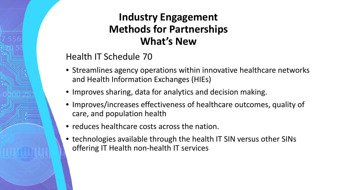### **Industry Engagement Methods for Partnerships What's New**

#### Health IT Schedule 70

- Streamlines agency operations within innovative healthcare networks and Health Information Exchanges (HIEs)
- Improves sharing, data for analytics and decision making.
- Improves/increases effectiveness of healthcare outcomes, quality of care, and population health
- reduces healthcare costs across the nation.
- technologies available through the health IT SIN versus other SINs offering IT Health non-health IT services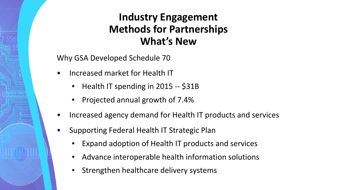#### **Industry Engagement Methods for Partnerships What's New**

Why GSA Developed Schedule 70

- Increased market for Health IT
	- Health IT spending in 2015 -- \$31B
	- Projected annual growth of 7.4%
- Increased agency demand for Health IT products and services
- Supporting Federal Health IT Strategic Plan
	- Expand adoption of Health IT products and services
	- Advance interoperable health information solutions
	- Strengthen healthcare delivery systems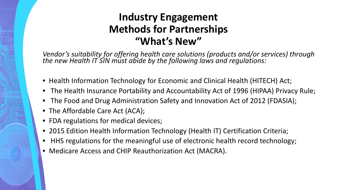#### **Industry Engagement Methods for Partnerships "What's New"**

*Vendor's suitability for offering health care solutions (products and/or services) through the new Health IT SIN must abide by the following laws and regulations:*

- Health Information Technology for Economic and Clinical Health (HITECH) Act;
- The Health Insurance Portability and Accountability Act of 1996 (HIPAA) Privacy Rule;
- The Food and Drug Administration Safety and Innovation Act of 2012 (FDASIA);
- The Affordable Care Act (ACA);
- FDA regulations for medical devices;
- 2015 Edition Health Information Technology (Health IT) Certification Criteria;
- HHS regulations for the meaningful use of electronic health record technology;
- Medicare Access and CHIP Reauthorization Act (MACRA).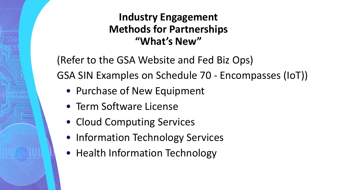### **Industry Engagement Methods for Partnerships "What's New"**

(Refer to the GSA Website and Fed Biz Ops) GSA SIN Examples on Schedule 70 - Encompasses (IoT))

- Purchase of New Equipment
- Term Software License
- Cloud Computing Services
- Information Technology Services
- Health Information Technology